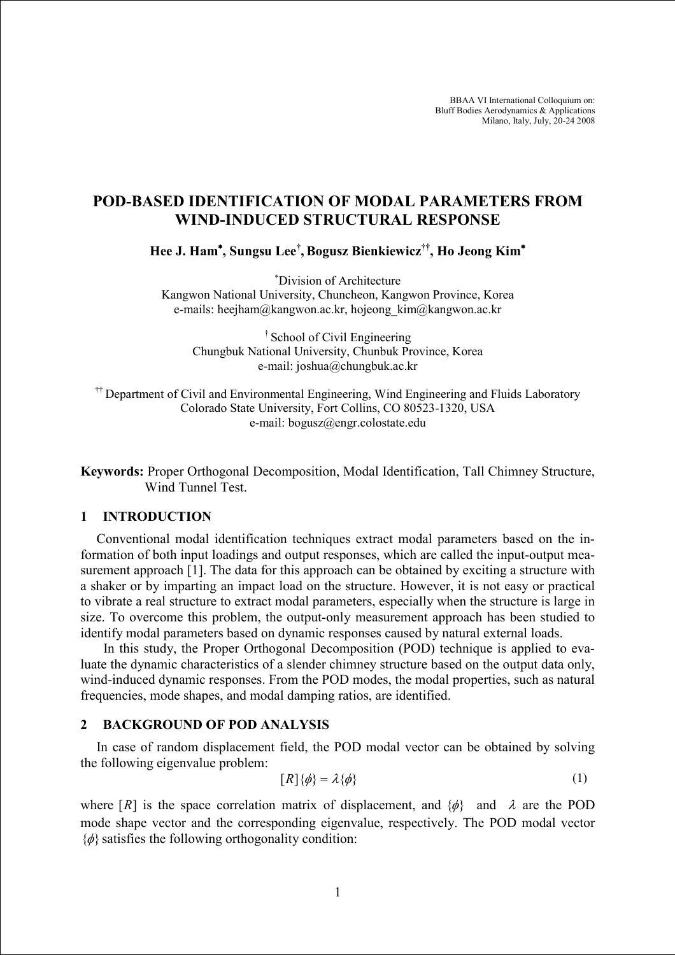BBAA VI International Colloquium on: Bluff Bodies Aerodynamics & Applications Milano, Italy, July, 20-24 2008

# POD-BASED IDENTIFICATION OF MODAL PARAMETERS FROM WIND-INDUCED STRUCTURAL RESPONSE

Hee J. Ham<sup>∗</sup> , Sungsu Lee† , Bogusz Bienkiewicz††, Ho Jeong Kim<sup>∗</sup>

<sup>∗</sup>Division of Architecture Kangwon National University, Chuncheon, Kangwon Province, Korea e-mails: heejham@kangwon.ac.kr, hojeong\_kim@kangwon.ac.kr

† School of Civil Engineering Chungbuk National University, Chunbuk Province, Korea e-mail: joshua@chungbuk.ac.kr

<sup>††</sup> Department of Civil and Environmental Engineering, Wind Engineering and Fluids Laboratory Colorado State University, Fort Collins, CO 80523-1320, USA e-mail: bogusz@engr.colostate.edu

Keywords: Proper Orthogonal Decomposition, Modal Identification, Tall Chimney Structure, Wind Tunnel Test.

#### 1 INTRODUCTION

Conventional modal identification techniques extract modal parameters based on the information of both input loadings and output responses, which are called the input-output measurement approach [1]. The data for this approach can be obtained by exciting a structure with a shaker or by imparting an impact load on the structure. However, it is not easy or practical to vibrate a real structure to extract modal parameters, especially when the structure is large in size. To overcome this problem, the output-only measurement approach has been studied to identify modal parameters based on dynamic responses caused by natural external loads.

 In this study, the Proper Orthogonal Decomposition (POD) technique is applied to evaluate the dynamic characteristics of a slender chimney structure based on the output data only, wind-induced dynamic responses. From the POD modes, the modal properties, such as natural frequencies, mode shapes, and modal damping ratios, are identified.

#### 2 BACKGROUND OF POD ANALYSIS

In case of random displacement field, the POD modal vector can be obtained by solving the following eigenvalue problem:

$$
[R]\{\phi\} = \lambda\{\phi\} \tag{1}
$$

where  $[R]$  is the space correlation matrix of displacement, and  $\{\phi\}$  and  $\lambda$  are the POD mode shape vector and the corresponding eigenvalue, respectively. The POD modal vector  $\{\phi\}$  satisfies the following orthogonality condition: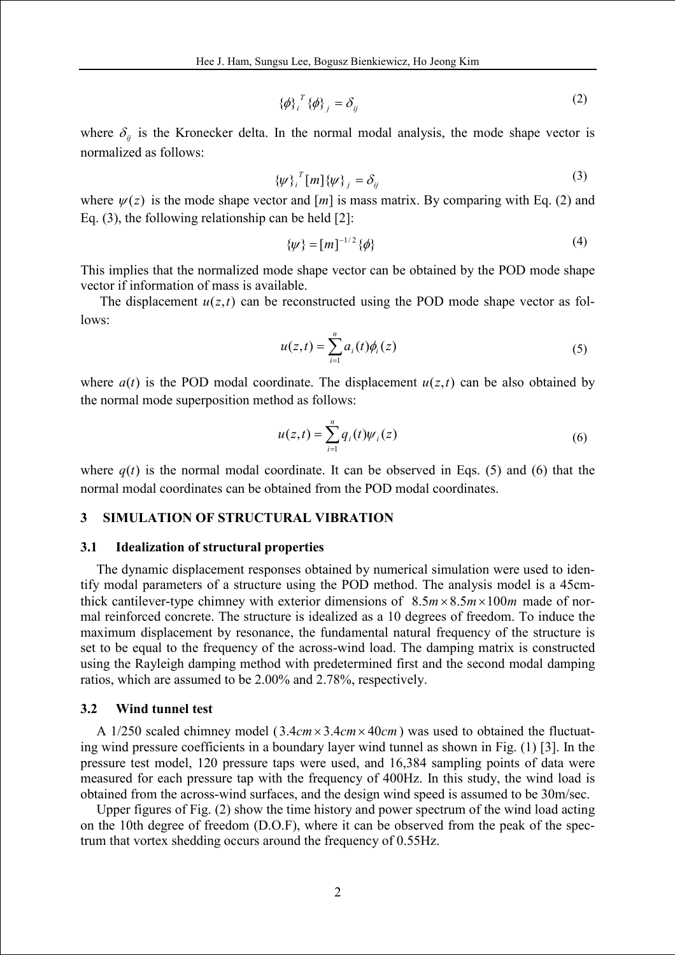$$
\{\phi\}_{i}^{T}\{\phi\}_{j} = \delta_{ij} \tag{2}
$$

where  $\delta_{ij}$  is the Kronecker delta. In the normal modal analysis, the mode shape vector is normalized as follows:

$$
\{\psi\}_{i}^{T}[m]\{\psi\}_{j} = \delta_{ij} \tag{3}
$$

where  $\psi(z)$  is the mode shape vector and  $[m]$  is mass matrix. By comparing with Eq. (2) and Eq. (3), the following relationship can be held [2]:

$$
\{\psi\} = [m]^{-1/2} \{\phi\}
$$
 (4)

This implies that the normalized mode shape vector can be obtained by the POD mode shape vector if information of mass is available.

The displacement  $u(z,t)$  can be reconstructed using the POD mode shape vector as follows:

$$
u(z,t) = \sum_{i=1}^{n} a_i(t)\phi_i(z)
$$
 (5)

where  $a(t)$  is the POD modal coordinate. The displacement  $u(z,t)$  can be also obtained by the normal mode superposition method as follows:

$$
u(z,t) = \sum_{i=1}^{n} q_i(t) \psi_i(z)
$$
 (6)

where  $q(t)$  is the normal modal coordinate. It can be observed in Eqs. (5) and (6) that the normal modal coordinates can be obtained from the POD modal coordinates.

### 3 SIMULATION OF STRUCTURAL VIBRATION

#### 3.1 Idealization of structural properties

The dynamic displacement responses obtained by numerical simulation were used to identify modal parameters of a structure using the POD method. The analysis model is a 45cmthick cantilever-type chimney with exterior dimensions of  $8.5 m \times 8.5 m \times 100 m$  made of normal reinforced concrete. The structure is idealized as a 10 degrees of freedom. To induce the maximum displacement by resonance, the fundamental natural frequency of the structure is set to be equal to the frequency of the across-wind load. The damping matrix is constructed using the Rayleigh damping method with predetermined first and the second modal damping ratios, which are assumed to be 2.00% and 2.78%, respectively.

#### 3.2 Wind tunnel test

A 1/250 scaled chimney model ( $3.4cm \times 3.4cm \times 40cm$ ) was used to obtained the fluctuating wind pressure coefficients in a boundary layer wind tunnel as shown in Fig. (1) [3]. In the pressure test model, 120 pressure taps were used, and 16,384 sampling points of data were measured for each pressure tap with the frequency of 400Hz. In this study, the wind load is obtained from the across-wind surfaces, and the design wind speed is assumed to be 30m/sec.

Upper figures of Fig. (2) show the time history and power spectrum of the wind load acting on the 10th degree of freedom (D.O.F), where it can be observed from the peak of the spectrum that vortex shedding occurs around the frequency of 0.55Hz.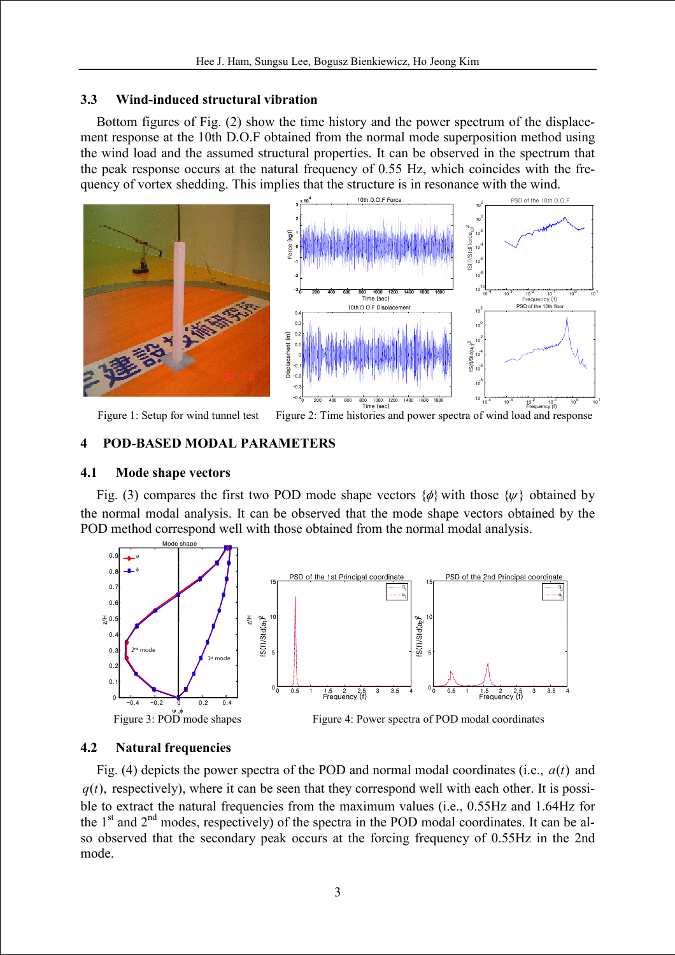### 3.3 Wind-induced structural vibration

Bottom figures of Fig. (2) show the time history and the power spectrum of the displacement response at the 10th D.O.F obtained from the normal mode superposition method using the wind load and the assumed structural properties. It can be observed in the spectrum that the peak response occurs at the natural frequency of 0.55 Hz, which coincides with the frequency of vortex shedding. This implies that the structure is in resonance with the wind.



Figure 1: Setup for wind tunnel test Figure 2: Time histories and power spectra of wind load and response Frequency (f)

### 4 POD-BASED MODAL PARAMETERS

#### 4.1 Mode shape vectors

Fig. (3) compares the first two POD mode shape vectors  $\{\phi\}$  with those  $\{\psi\}$  obtained by the normal modal analysis. It can be observed that the mode shape vectors obtained by the POD method correspond well with those obtained from the normal modal analysis.



# 4.2 Natural frequencies

Fig. (4) depicts the power spectra of the POD and normal modal coordinates (i.e.,  $a(t)$  and  $q(t)$ , respectively), where it can be seen that they correspond well with each other. It is possible to extract the natural frequencies from the maximum values (i.e., 0.55Hz and 1.64Hz for the  $1<sup>st</sup>$  and  $2<sup>nd</sup>$  modes, respectively) of the spectra in the POD modal coordinates. It can be also observed that the secondary peak occurs at the forcing frequency of 0.55Hz in the 2nd mode.